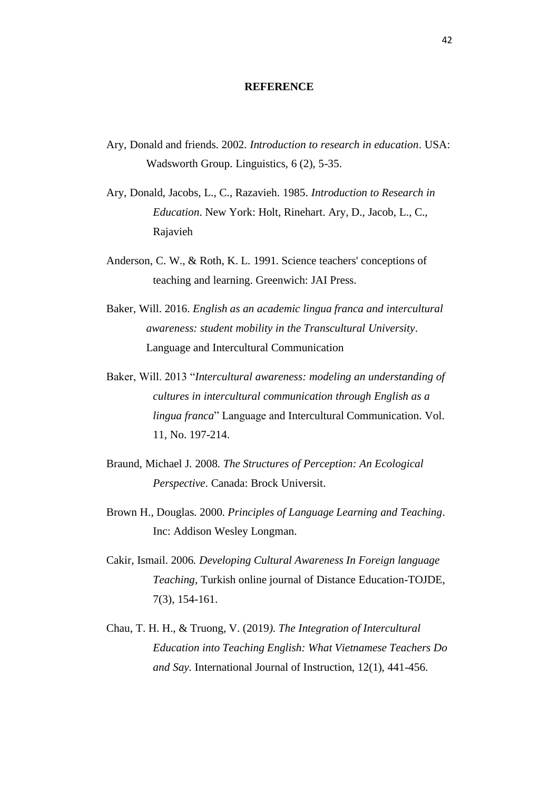## **REFERENCE**

- Ary, Donald and friends. 2002. *Introduction to research in education*. USA: Wadsworth Group. Linguistics, 6 (2), 5-35.
- Ary, Donald, Jacobs, L., C., Razavieh. 1985. *Introduction to Research in Education*. New York: Holt, Rinehart. Ary, D., Jacob, L., C., Rajavieh
- Anderson, C. W., & Roth, K. L. 1991. Science teachers' conceptions of teaching and learning. Greenwich: JAI Press.
- Baker, Will. 2016. *English as an academic lingua franca and intercultural awareness: student mobility in the Transcultural University*. Language and Intercultural Communication
- Baker, Will. 2013 "*Intercultural awareness: modeling an understanding of cultures in intercultural communication through English as a lingua franca*" Language and Intercultural Communication. Vol. 11, No. 197-214.
- Braund, Michael J. 2008. *The Structures of Perception: An Ecological Perspective*. Canada: Brock Universit.
- Brown H., Douglas. 2000. *Principles of Language Learning and Teaching*. Inc: Addison Wesley Longman.
- Cakir, Ismail. 2006*. Developing Cultural Awareness In Foreign language Teaching*, Turkish online journal of Distance Education-TOJDE, 7(3), 154-161.
- Chau, T. H. H., & Truong, V. (2019*). The Integration of Intercultural Education into Teaching English: What Vietnamese Teachers Do and Say.* International Journal of Instruction, 12(1), 441-456.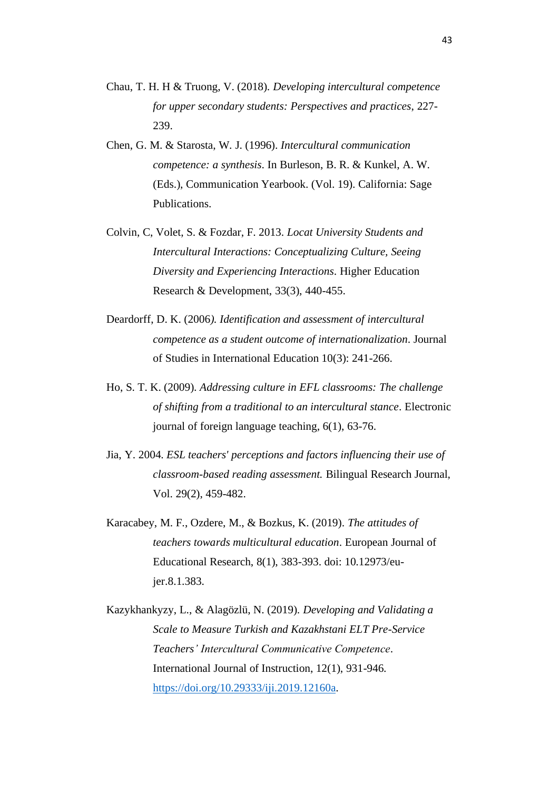- Chau, T. H. H & Truong, V. (2018). *Developing intercultural competence for upper secondary students: Perspectives and practices*, 227- 239.
- Chen, G. M. & Starosta, W. J. (1996). *Intercultural communication competence: a synthesis*. In Burleson, B. R. & Kunkel, A. W. (Eds.), Communication Yearbook. (Vol. 19). California: Sage Publications.
- Colvin, C, Volet, S. & Fozdar, F. 2013. *Locat University Students and Intercultural Interactions: Conceptualizing Culture, Seeing Diversity and Experiencing Interactions*. Higher Education Research & Development, 33(3), 440-455.
- Deardorff, D. K. (2006*). Identification and assessment of intercultural competence as a student outcome of internationalization*. Journal of Studies in International Education 10(3): 241-266.
- Ho, S. T. K. (2009). *Addressing culture in EFL classrooms: The challenge of shifting from a traditional to an intercultural stance*. Electronic journal of foreign language teaching, 6(1), 63-76.
- Jia, Y. 2004. *ESL teachers' perceptions and factors influencing their use of classroom-based reading assessment.* Bilingual Research Journal, Vol. 29(2), 459-482.
- Karacabey, M. F., Ozdere, M., & Bozkus, K. (2019). *The attitudes of teachers towards multicultural education*. European Journal of Educational Research, 8(1), 383-393. doi: 10.12973/eujer.8.1.383.
- Kazykhankyzy, L., & Alagözlü, N. (2019). *Developing and Validating a Scale to Measure Turkish and Kazakhstani ELT Pre-Service Teachers' Intercultural Communicative Competence*. International Journal of Instruction, 12(1), 931-946. [https://doi.org/10.29333/iji.2019.12160a.](https://doi.org/10.29333/iji.2019.12160a)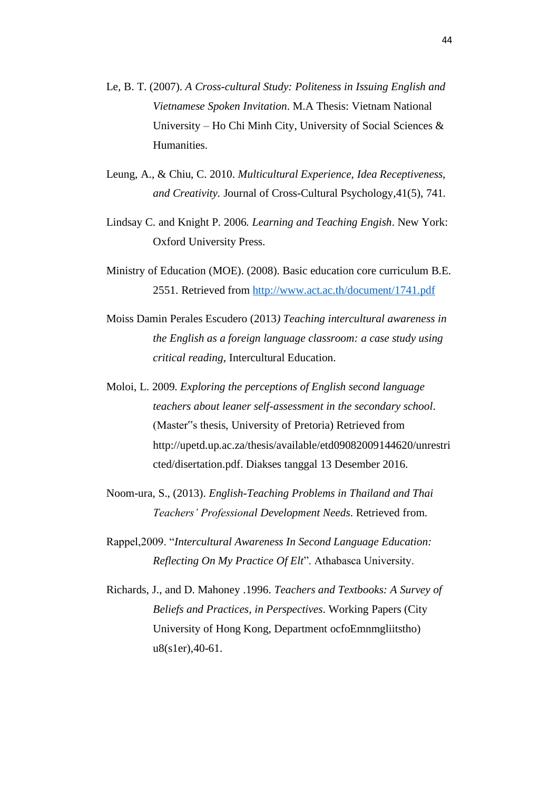- Le, B. T. (2007). *A Cross-cultural Study: Politeness in Issuing English and Vietnamese Spoken Invitation*. M.A Thesis: Vietnam National University – Ho Chi Minh City, University of Social Sciences & Humanities.
- Leung, A., & Chiu, C. 2010. *Multicultural Experience, Idea Receptiveness, and Creativity.* Journal of Cross-Cultural Psychology,41(5), 741.
- Lindsay C. and Knight P. 2006*. Learning and Teaching Engish*. New York: Oxford University Press.
- Ministry of Education (MOE). (2008). Basic education core curriculum B.E. 2551. Retrieved from<http://www.act.ac.th/document/1741.pdf>
- Moiss Damin Perales Escudero (2013*) Teaching intercultural awareness in the English as a foreign language classroom: a case study using critical reading*, Intercultural Education.
- Moloi, L. 2009. *Exploring the perceptions of English second language teachers about leaner self-assessment in the secondary school*. (Master"s thesis, University of Pretoria) Retrieved from http://upetd.up.ac.za/thesis/available/etd09082009144620/unrestri cted/disertation.pdf. Diakses tanggal 13 Desember 2016.
- Noom-ura, S., (2013). *English-Teaching Problems in Thailand and Thai Teachers' Professional Development Needs*. Retrieved from.
- Rappel,2009. "*Intercultural Awareness In Second Language Education: Reflecting On My Practice Of Elt*". Athabasca University.
- Richards, J., and D. Mahoney .1996. *Teachers and Textbooks: A Survey of Beliefs and Practices, in Perspectives*. Working Papers (City University of Hong Kong, Department ocfoEmnmgliitstho) u8(s1er),40-61.